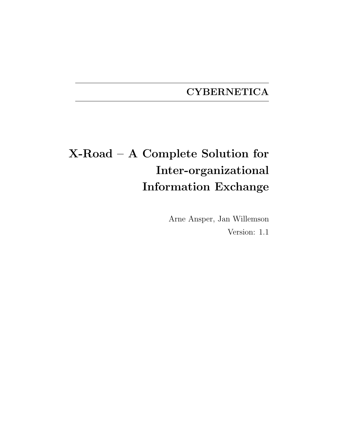## **CYBERNETICA**

# X-Road – A Complete Solution for Inter-organizational Information Exchange

Arne Ansper, Jan Willemson Version: 1.1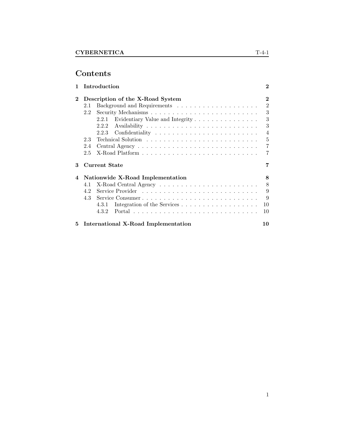## Contents

| 1        |     | Introduction                               | $\bf{2}$       |
|----------|-----|--------------------------------------------|----------------|
| $\bf{2}$ |     | Description of the X-Road System           | $\bf{2}$       |
|          | 2.1 |                                            | $\overline{2}$ |
|          | 2.2 |                                            | 3              |
|          |     | Evidentiary Value and Integrity<br>2.2.1   | 3              |
|          |     | 2.2.2                                      | 3              |
|          |     | 2.2.3                                      | $\overline{4}$ |
|          | 2.3 |                                            | 5              |
|          | 2.4 |                                            | 7              |
|          | 2.5 |                                            | 7              |
| 3        |     | Current State                              | 7              |
| 4        |     | Nationwide X-Road Implementation           | 8              |
|          | 4.1 |                                            | 8              |
|          | 4.2 |                                            | 9              |
|          | 4.3 | Service Consumer                           | 9              |
|          |     | 4.3.1                                      | 10             |
|          |     | 4.3.2                                      | 10             |
| 5        |     | <b>International X-Road Implementation</b> | 10             |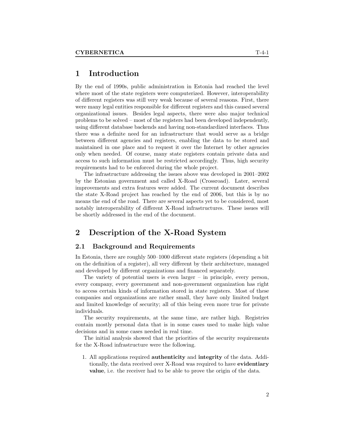## 1 Introduction

By the end of 1990s, public administration in Estonia had reached the level where most of the state registers were computerized. However, interoperability of different registers was still very weak because of several reasons. First, there were many legal entities responsible for different registers and this caused several organizational issues. Besides legal aspects, there were also major technical problems to be solved – most of the registers had been developed independently, using different database backends and having non-standardized interfaces. Thus there was a definite need for an infrastructure that would serve as a bridge between different agencies and registers, enabling the data to be stored and maintained in one place and to request it over the Internet by other agencies only when needed. Of course, many state registers contain private data and access to such information must be restricted accordingly. Thus, high security requirements had to be enforced during the whole project.

The infrastructure addressing the issues above was developed in 2001–2002 by the Estonian government and called X-Road (Crossroad). Later, several improvements and extra features were added. The current document describes the state X-Road project has reached by the end of 2006, but this is by no means the end of the road. There are several aspects yet to be considered, most notably interoperability of different X-Road infrastructures. These issues will be shortly addressed in the end of the document.

### 2 Description of the X-Road System

#### 2.1 Background and Requirements

In Estonia, there are roughly 500–1000 different state registers (depending a bit on the definition of a register), all very different by their architecture, managed and developed by different organizations and financed separately.

The variety of potential users is even larger  $-$  in principle, every person, every company, every government and non-government organization has right to access certain kinds of information stored in state registers. Most of these companies and organizations are rather small, they have only limited budget and limited knowledge of security; all of this being even more true for private individuals.

The security requirements, at the same time, are rather high. Registries contain mostly personal data that is in some cases used to make high value decisions and in some cases needed in real time.

The initial analysis showed that the priorities of the security requirements for the X-Road infrastructure were the following.

1. All applications required authenticity and integrity of the data. Additionally, the data received over X-Road was required to have evidentiary value, i.e. the receiver had to be able to prove the origin of the data.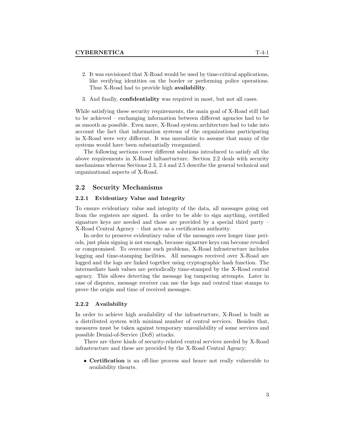- 2. It was envisioned that X-Road would be used by time-critical applications, like verifying identities on the border or performing police operations. Thus X-Road had to provide high availability.
- 3. And finally, confidentiality was required in most, but not all cases.

While satisfying these security requirements, the main goal of X-Road still had to be achieved – exchanging information between different agencies had to be as smooth as possible. Even more, X-Road system architecture had to take into account the fact that information systems of the organizations participating in X-Road were very different. It was unrealistic to assume that many of the systems would have been substantially reorganized.

The following sections cover different solutions introduced to satisfy all the above requirements in X-Road inftasrtucture. Section 2.2 deals with security mechanisms whereas Sections 2.3, 2.4 and 2.5 describe the general technical and organizational aspects of X-Road.

#### 2.2 Security Mechanisms

#### 2.2.1 Evidentiary Value and Integrity

To ensure evidentiary value and integrity of the data, all messages going out from the registers are signed. In order to be able to sign anything, certified signature keys are needed and those are provided by a special third party – X-Road Central Agency – that acts as a certification authority.

In order to preserve evidentiary value of the messages over longer time periods, just plain signing is not enough, because signature keys can become revoked or compromised. To overcome such problems, X-Road infrastructure includes logging and time-stamping facilities. All messages received over X-Road are logged and the logs are linked together using cryptographic hash function. The intermediate hash values are periodically time-stamped by the X-Road central agency. This allows detecting the message log tampering attempts. Later in case of disputes, message receiver can use the logs and central time stamps to prove the origin and time of received messages.

#### 2.2.2 Availability

In order to achieve high availability of the infrastructure, X-Road is built as a distributed system with minimal number of central services. Besides that, measures must be taken against temporary unavailability of some services and possible Denial-of-Service (DoS) attacks.

There are three kinds of security-related central services needed by X-Road infrastructure and these are provided by the X-Road Central Agency:

• Certification is an off-line process and hence not really vulnerable to availability thearts.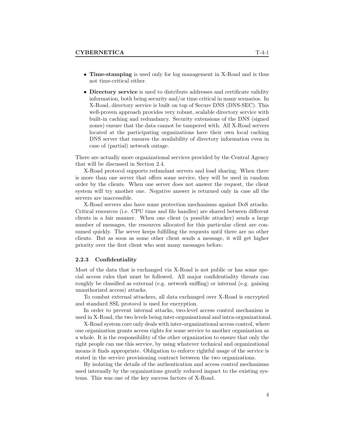- Time-stamping is used only for log management in X-Road and is thus not time-critical either.
- Directory service is used to distribute addresses and certificate validity information, both being security and/or time critical in many scenarios. In X-Road, directory service is built on top of Secure DNS (DNS-SEC). This well-proven approach provides very robust, scalable directory service with built-in caching and redundancy. Security extensions of the DNS (signed zones) ensure that the data cannot be tampered with. All X-Road servers located at the participating organizations have their own local caching DNS server that ensures the availability of directory information even in case of (partial) network outage.

There are actually more organizational services provided by the Central Agency that will be discussed in Section 2.4.

X-Road protocol supports redundant servers and load sharing. When there is more than one server that offers some service, they will be used in random order by the clients. When one server does not answer the request, the client system will try another one. Negative answer is returned only in case all the servers are inaccessible.

X-Road servers also have some protection mechanisms against DoS attacks. Critical resources (i.e. CPU time and file handles) are shared between different clients in a fair manner. When one client (a possible attacker) sends a large number of messages, the resources allocated for this particular client are consumed quickly. The server keeps fulfilling the requests until there are no other clients. But as soon as some other client sends a message, it will get higher priority over the first client who sent many messages before.

#### 2.2.3 Confidentiality

Most of the data that is exchanged via X-Road is not public or has some special access rules that must be followed. All major confidentiality threats can roughly be classified as external (e.g. network sniffing) or internal (e.g. gaining unauthorized access) attacks.

To combat external attackers, all data exchanged over X-Road is encrypted and standard SSL protocol is used for encryption.

In order to prevent internal attacks, two-level access control mechanism is used in X-Road, the two levels being inter-organisational and intra-organizational.

X-Road system core only deals with inter-organizational access control, where one organization grants access rights for some service to another organization as a whole. It is the responsibility of the other organization to ensure that only the right people can use this service, by using whatever technical and organizational means it finds appropriate. Obligation to enforce rightful usage of the service is stated in the service provisioning contract between the two organizations.

By isolating the details of the authentication and access control mechanisms used internally by the organizations greatly reduced impact to the existing systems. This was one of the key success factors of X-Road.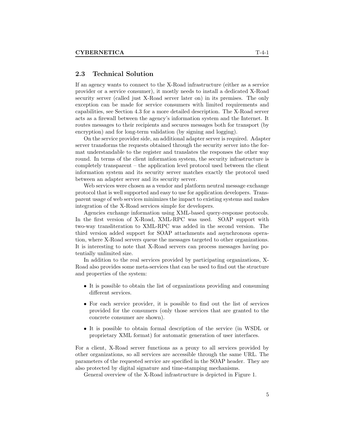#### 2.3 Technical Solution

If an agency wants to connect to the X-Road infrastructure (either as a service provider or a service consumer), it mostly needs to install a dedicated X-Road security server (called just X-Road server later on) in its premises. The only exception can be made for service consumers with limited requirements and capabilities, see Section 4.3 for a more detailed description. The X-Road server acts as a firewall between the agency's information system and the Internet. It routes messages to their recipients and secures messages both for transport (by encryption) and for long-term validation (by signing and logging).

On the service provider side, an additional adapter server is required. Adapter server transforms the requests obtained through the security server into the format understandable to the register and translates the responses the other way round. In terms of the client information system, the security infrastructure is completely transparent – the application level protocol used between the client information system and its security server matches exactly the protocol used between an adapter server and its security server.

Web services were chosen as a vendor and platform neutral message exchange protocol that is well supported and easy to use for application developers. Transparent usage of web services minimizes the impact to existing systems and makes integration of the X-Road services simple for developers.

Agencies exchange information using XML-based query-response protocols. In the first version of X-Road, XML-RPC was used. SOAP support with two-way transliteration to XML-RPC was added in the second version. The third version added support for SOAP attachments and asynchronous operation, where X-Road servers queue the messages targeted to other organizations. It is interesting to note that X-Road servers can process messages having potentially unlimited size.

In addition to the real services provided by participating organizations, X-Road also provides some meta-services that can be used to find out the structure and properties of the system:

- It is possible to obtain the list of organizations providing and consuming different services.
- For each service provider, it is possible to find out the list of services provided for the consumers (only those services that are granted to the concrete consumer are shown).
- It is possible to obtain formal description of the service (in WSDL or proprietary XML format) for automatic generation of user interfaces.

For a client, X-Road server functions as a proxy to all services provided by other organizations, so all services are accessible through the same URL. The parameters of the requested service are specified in the SOAP header. They are also protected by digital signature and time-stamping mechanisms.

General overview of the X-Road infrastructure is depicted in Figure 1.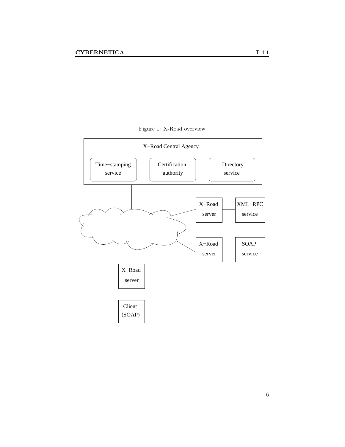

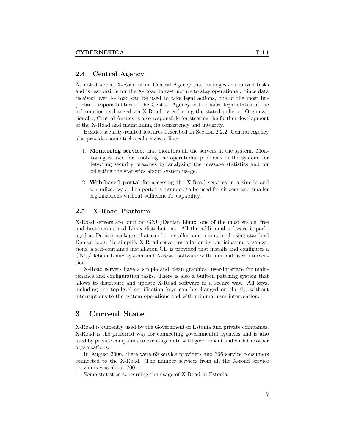#### 2.4 Central Agency

As noted above, X-Road has a Central Agency that manages centralized tasks and is responsible for the X-Road infrastructure to stay operational. Since data received over X-Road can be used to take legal actions, one of the most important responsibilities of the Central Agency is to ensure legal status of the information exchanged via X-Road by enforcing the stated policies. Organizationally, Central Agency is also responsible for steering the further development of the X-Road and maintaining its consistency and integrity.

Besides security-related features described in Section 2.2.2, Central Agency also provides some technical services, like:

- 1. Monitoring service, that monitors all the servers in the system. Monitoring is used for resolving the operational problems in the system, for detecting security breaches by analyzing the message statistics and for collecting the statistics about system usage.
- 2. Web-based portal for accessing the X-Road services in a simple and centralized way. The portal is intended to be used for citizens and smaller organizations without sufficient IT capability.

#### 2.5 X-Road Platform

X-Road servers are built on GNU/Debian Linux, one of the most stable, free and best maintained Linux distributions. All the additional software is packaged as Debian packages that can be installed and maintained using standard Debian tools. To simplify X-Road server installation by participating organizations, a self-contained installation CD is provided that installs and configures a GNU/Debian Linux system and X-Road software with minimal user intervention.

X-Road servers have a simple and clean graphical user-interface for maintenance and configuration tasks. There is also a built-in patching system that allows to distribute and update X-Road software in a secure way. All keys, including the top-level certification keys can be changed on the fly, without interruptions to the system operations and with minimal user intervention.

## 3 Current State

X-Road is currently used by the Government of Estonia and private companies. X-Road is the preferred way for connecting governmental agencies and is also used by private companies to exchange data with government and with the other organizations.

In August 2006, there were 69 service providers and 366 service consumers connected to the X-Road. The number services from all the X-road service providers was about 700.

Some statistics concerning the usage of X-Road in Estonia: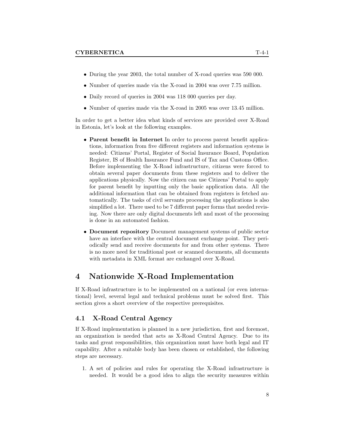- During the year 2003, the total number of X-road queries was 590 000.
- Number of queries made via the X-road in 2004 was over 7.75 million.
- Daily record of queries in 2004 was 118 000 queries per day.
- Number of queries made via the X-road in 2005 was over 13.45 million.

In order to get a better idea what kinds of services are provided over X-Road in Estonia, let's look at the following examples.

- Parent benefit in Internet In order to process parent benefit applications, information from five different registers and information systems is needed: Citizens' Portal, Register of Social Insurance Board, Population Register, IS of Health Insurance Fund and IS of Tax and Customs Office. Before implementing the X-Road infrastructure, citizens were forced to obtain several paper documents from these registers and to deliver the applications physically. Now the citizen can use Citizens' Portal to apply for parent benefit by inputting only the basic application data. All the additional information that can be obtained from registers is fetched automatically. The tasks of civil servants processing the applications is also simplified a lot. There used to be 7 different paper forms that needed revising. Now there are only digital documents left and most of the processing is done in an automated fashion.
- Document repository Document management systems of public sector have an interface with the central document exchange point. They periodically send and receive documents for and from other systems. There is no more need for traditional post or scanned documents, all documents with metadata in XML format are exchanged over X-Road.

## 4 Nationwide X-Road Implementation

If X-Road infrastructure is to be implemented on a national (or even international) level, several legal and technical problems must be solved first. This section gives a short overview of the respective prerequisites.

#### 4.1 X-Road Central Agency

If X-Road implementation is planned in a new jurisdiction, first and foremost, an organization is needed that acts as X-Road Central Agency. Due to its tasks and great responsibilities, this organization must have both legal and IT capability. After a suitable body has been chosen or established, the following steps are necessary.

1. A set of policies and rules for operating the X-Road infrastructure is needed. It would be a good idea to align the security measures within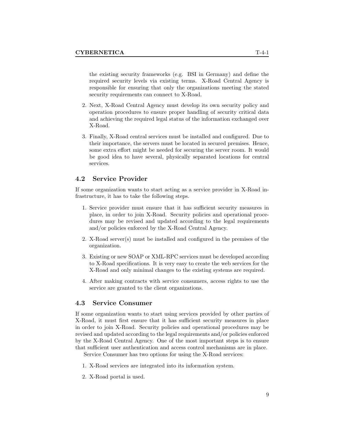the existing security frameworks (e.g. BSI in Germany) and define the required security levels via existing terms. X-Road Central Agency is responsible for ensuring that only the organizations meeting the stated security requirements can connect to X-Road.

- 2. Next, X-Road Central Agency must develop its own security policy and operation procedures to ensure proper handling of security critical data and achieving the required legal status of the information exchanged over X-Road.
- 3. Finally, X-Road central services must be installed and configured. Due to their importance, the servers must be located in secured premises. Hence, some extra effort might be needed for securing the server room. It would be good idea to have several, physically separated locations for central services.

#### 4.2 Service Provider

If some organization wants to start acting as a service provider in X-Road infrastructure, it has to take the following steps.

- 1. Service provider must ensure that it has sufficient security measures in place, in order to join X-Road. Security policies and operational procedures may be revised and updated according to the legal requirements and/or policies enforced by the X-Road Central Agency.
- 2. X-Road server(s) must be installed and configured in the premises of the organization.
- 3. Existing or new SOAP or XML-RPC services must be developed according to X-Road specifications. It is very easy to create the web services for the X-Road and only minimal changes to the existing systems are required.
- 4. After making contracts with service consumers, access rights to use the service are granted to the client organizations.

#### 4.3 Service Consumer

If some organization wants to start using services provided by other parties of X-Road, it must first ensure that it has sufficient security measures in place in order to join X-Road. Security policies and operational procedures may be revised and updated according to the legal requirements and/or policies enforced by the X-Road Central Agency. One of the most important steps is to ensure that sufficient user authentication and access control mechanisms are in place.

Service Consumer has two options for using the X-Road services:

- 1. X-Road services are integrated into its information system.
- 2. X-Road portal is used.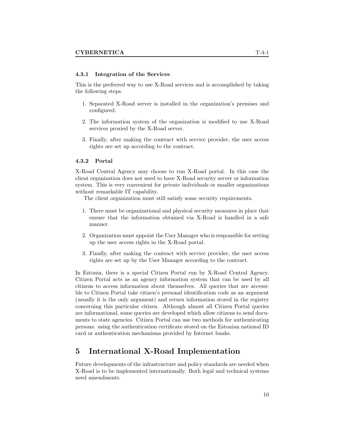#### 4.3.1 Integration of the Services

This is the preferred way to use X-Road services and is accomplished by taking the following steps.

- 1. Separated X-Road server is installed in the organization's premises and configured.
- 2. The information system of the organization is modified to use X-Road services proxied by the X-Road server.
- 3. Finally, after making the contract with service provider, the user access rights are set up according to the contract.

#### 4.3.2 Portal

X-Road Central Agency may choose to run X-Road portal. In this case the client organization does not need to have X-Road security server or information system. This is very convenient for private individuals or smaller organizations without remarkable IT capability.

The client organization must still satisfy some security requirements.

- 1. There must be organizational and physical security measures in place that ensure that the information obtained via X-Road is handled in a safe manner.
- 2. Organization must appoint the User Manager who is responsible for setting up the user access rights in the X-Road portal.
- 3. Finally, after making the contract with service provider, the user access rights are set up by the User Manager according to the contract.

In Estonia, there is a special Citizen Portal run by X-Road Central Agency. Citizen Portal acts as an agency information system that can be used by all citizens to access information about themselves. All queries that are accessible to Citizen Portal take citizen's personal identification code as an argument (usually it is the only argument) and return information stored in the registry concerning this particular citizen. Although almost all Citizen Portal queries are informational, some queries are developed which allow citizens to send documents to state agencies. Citizen Portal can use two methods for authenticating persons: using the authentication certificate stored on the Estonian national ID card or authentication mechanisms provided by Internet banks.

## 5 International X-Road Implementation

Future developments of the infrastructure and policy standards are needed when X-Road is to be implemented internationally. Both legal and technical systems need amendments.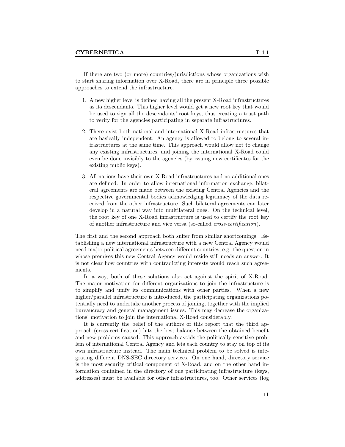If there are two (or more) countries/jurisdictions whose organizations wish to start sharing information over X-Road, there are in principle three possible approaches to extend the infrastructure.

- 1. A new higher level is defined having all the present X-Road infrastructures as its descendants. This higher level would get a new root key that would be used to sign all the descendants' root keys, thus creating a trust path to verify for the agencies participating in separate infrastructures.
- 2. There exist both national and international X-Road infrastructures that are basically independent. An agency is allowed to belong to several infrastructures at the same time. This approach would allow not to change any existing infrastructures, and joining the international X-Road could even be done invisibly to the agencies (by issuing new certificates for the existing public keys).
- 3. All nations have their own X-Road infrastructures and no additional ones are defined. In order to allow international information exchange, bilateral agreements are made between the existing Central Agencies and the respective governmental bodies acknowledging legitimacy of the data received from the other infrastructure. Such bilateral agreements can later develop in a natural way into multilateral ones. On the technical level, the root key of one X-Road infrastructure is used to certify the root key of another infrastructure and vice versa (so-called cross-certification).

The first and the second approach both suffer from similar shortcomings. Establishing a new international infrastructure with a new Central Agency would need major political agreements between different countries, e.g. the question in whose premises this new Central Agency would reside still needs an answer. It is not clear how countries with contradicting interests would reach such agreements.

In a way, both of these solutions also act against the spirit of X-Road. The major motivation for different organizations to join the infrastructure is to simplify and unify its communications with other parties. When a new higher/parallel infrastructure is introduced, the participating organizations potentially need to undertake another process of joining, together with the implied bureaucracy and general management issues. This may decrease the organizations' motivation to join the international X-Road considerably.

It is currently the belief of the authors of this report that the third approach (cross-certification) hits the best balance between the obtained benefit and new problems caused. This approach avoids the politically sensitive problem of international Central Agency and lets each country to stay on top of its own infrastructure instead. The main technical problem to be solved is integrating different DNS-SEC directory services. On one hand, directory service is the most security critical component of X-Road, and on the other hand information contained in the directory of one participating infrastructure (keys, addresses) must be available for other infrastructures, too. Other services (log